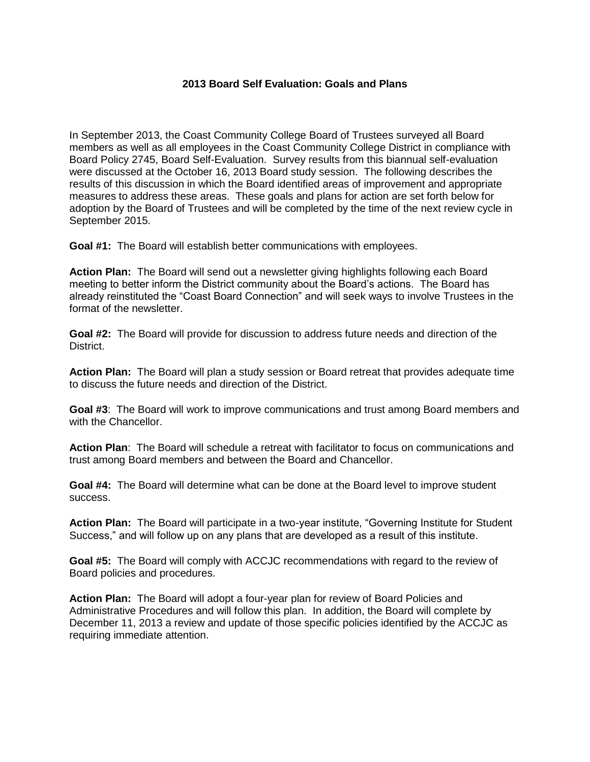## **2013 Board Self Evaluation: Goals and Plans**

In September 2013, the Coast Community College Board of Trustees surveyed all Board members as well as all employees in the Coast Community College District in compliance with Board Policy 2745, Board Self-Evaluation. Survey results from this biannual self-evaluation were discussed at the October 16, 2013 Board study session. The following describes the results of this discussion in which the Board identified areas of improvement and appropriate measures to address these areas. These goals and plans for action are set forth below for adoption by the Board of Trustees and will be completed by the time of the next review cycle in September 2015.

**Goal #1:** The Board will establish better communications with employees.

**Action Plan:** The Board will send out a newsletter giving highlights following each Board meeting to better inform the District community about the Board's actions. The Board has already reinstituted the "Coast Board Connection" and will seek ways to involve Trustees in the format of the newsletter.

**Goal #2:** The Board will provide for discussion to address future needs and direction of the District.

**Action Plan:** The Board will plan a study session or Board retreat that provides adequate time to discuss the future needs and direction of the District.

**Goal #3**: The Board will work to improve communications and trust among Board members and with the Chancellor.

**Action Plan**: The Board will schedule a retreat with facilitator to focus on communications and trust among Board members and between the Board and Chancellor.

**Goal #4:** The Board will determine what can be done at the Board level to improve student success.

**Action Plan:** The Board will participate in a two-year institute, "Governing Institute for Student Success," and will follow up on any plans that are developed as a result of this institute.

**Goal #5:** The Board will comply with ACCJC recommendations with regard to the review of Board policies and procedures.

**Action Plan:** The Board will adopt a four-year plan for review of Board Policies and Administrative Procedures and will follow this plan. In addition, the Board will complete by December 11, 2013 a review and update of those specific policies identified by the ACCJC as requiring immediate attention.